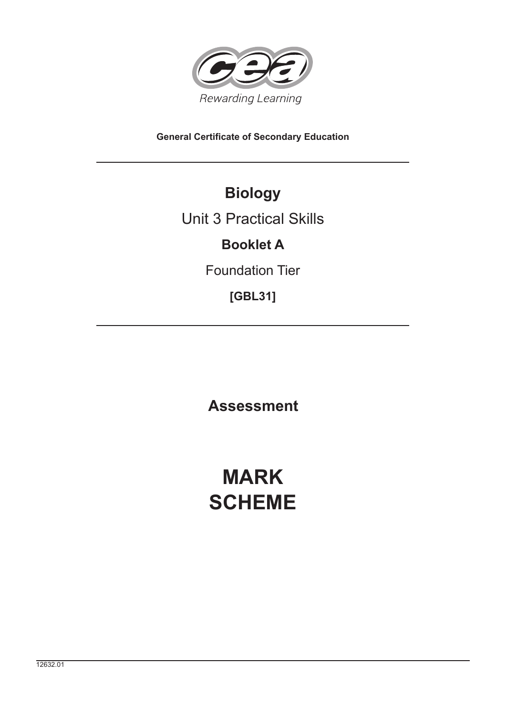

**General Certificate of Secondary Education**

**Biology** Unit 3 Practical Skills **Booklet A** Foundation Tier **[GBL31]**

**Assessment**

# **MARK SCHEME**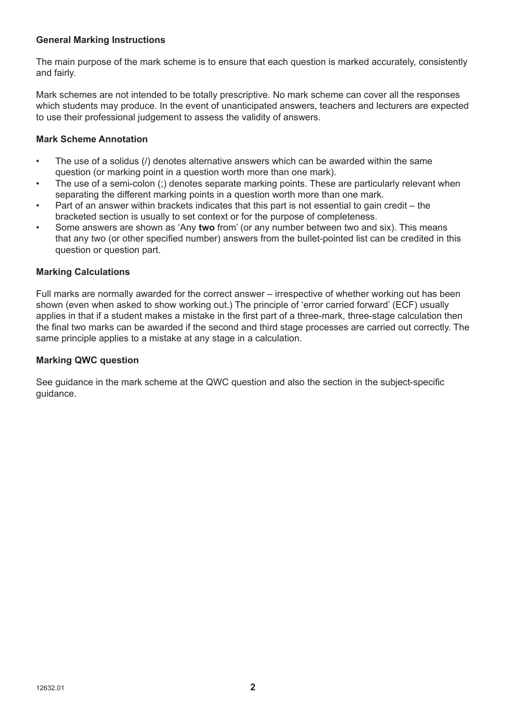#### **General Marking Instructions**

The main purpose of the mark scheme is to ensure that each question is marked accurately, consistently and fairly.

Mark schemes are not intended to be totally prescriptive. No mark scheme can cover all the responses which students may produce. In the event of unanticipated answers, teachers and lecturers are expected to use their professional judgement to assess the validity of answers.

#### **Mark Scheme Annotation**

- The use of a solidus (/) denotes alternative answers which can be awarded within the same question (or marking point in a question worth more than one mark).
- The use of a semi-colon (:) denotes separate marking points. These are particularly relevant when separating the different marking points in a question worth more than one mark.
- Part of an answer within brackets indicates that this part is not essential to gain credit the bracketed section is usually to set context or for the purpose of completeness.
- Some answers are shown as 'Any **two** from' (or any number between two and six). This means that any two (or other specified number) answers from the bullet-pointed list can be credited in this question or question part.

#### **Marking Calculations**

Full marks are normally awarded for the correct answer – irrespective of whether working out has been shown (even when asked to show working out.) The principle of 'error carried forward' (ECF) usually applies in that if a student makes a mistake in the first part of a three-mark, three-stage calculation then the final two marks can be awarded if the second and third stage processes are carried out correctly. The same principle applies to a mistake at any stage in a calculation.

#### **Marking QWC question**

See guidance in the mark scheme at the QWC question and also the section in the subject-specific guidance.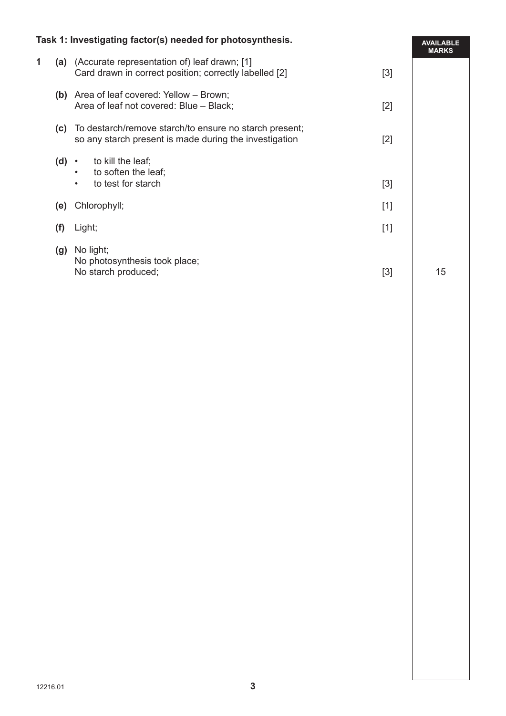### **AVAILABLE MARKS Task 1: Investigating factor(s) needed for photosynthesis. 1 (a)** (Accurate representation of) leaf drawn; [1] Card drawn in correct position; correctly labelled [2] [3] **(b)** Area of leaf covered: Yellow – Brown; Area of leaf not covered: Blue – Black; [2] **(c)** To destarch/remove starch/to ensure no starch present; so any starch present is made during the investigation [2]  **(d)** • to kill the leaf; to soften the leaf; • to test for starch [3]  **(e)** Chlorophyll; [1] **(f)** Light; [1] **(g)** No light; No photosynthesis took place; No starch produced; 15